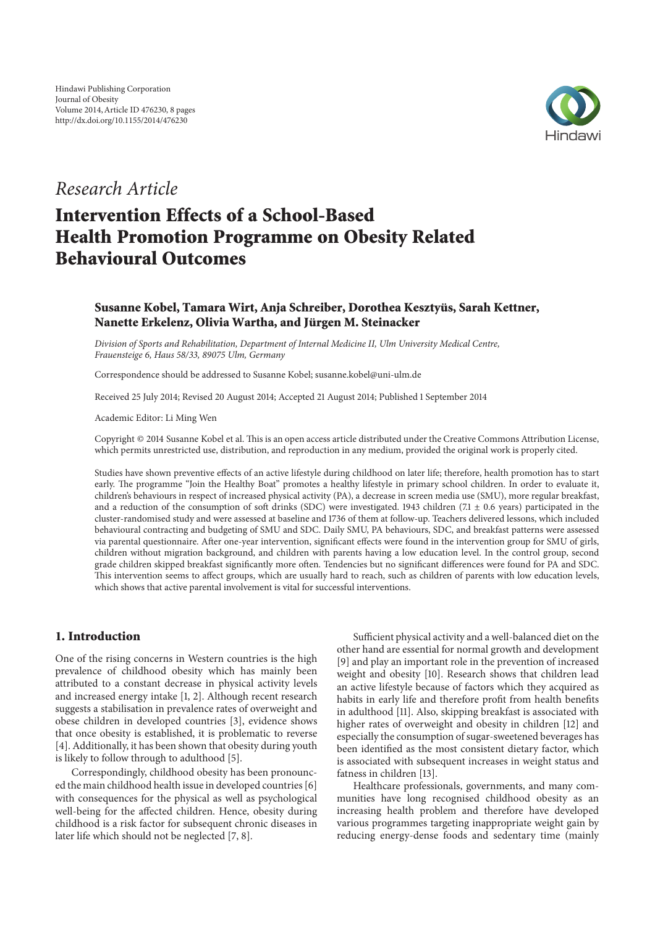

# Research Article

# Intervention Effects of a School-Based Health Promotion Programme on Obesity Related Behavioural Outcomes

## Susanne Kobel, Tamara Wirt, Anja Schreiber, Dorothea Kesztyüs, Sarah Kettner, Nanette Erkelenz, Olivia Wartha, and Jürgen M. Steinacker

Division of Sports and Rehabilitation, Department of Internal Medicine II, Ulm University Medical Centre, Frauensteige 6, Haus 58/33, 89075 Ulm, Germany

Correspondence should be addressed to Susanne Kobel; susanne.kobel@uni-ulm.de

Received 25 July 2014; Revised 20 August 2014; Accepted 21 August 2014; Published 1 September 2014

Academic Editor: Li Ming Wen

Copyright © 2014 Susanne Kobel et al. Jis is an open access article distributed under the Creative Commons Attribution License, which permits unrestricted use, distribution, and reproduction in any medium, provided the original work is properly cited.

Studies have shown preventive effects of an active lifestyle during childhood on later life; therefore, health promotion has to start early. The programme "Join the Healthy Boat" promotes a healthy lifestyle in primary school children. In order to evaluate it, children's behaviours in respect of increased physical activity (PA), a decrease in screen media use (SMU), more regular breakfast, and a reduction of the consumption of soft drinks (SDC) were investigated. 1943 children (7.1  $\pm$  0.6 years) participated in the cluster-randomised study and were assessed at baseline and 1736 of them at follow-up. Teachers delivered lessons, which included behavioural contracting and budgeting of SMU and SDC. Daily SMU, PA behaviours, SDC, and breakfast patterns were assessed via parental questionnaire. After one-year intervention, significant effects were found in the intervention group for SMU of girls, children without migration background, and children with parents having a low education level. In the control group, second grade children skipped breakfast significantly more often. Tendencies but no significant differences were found for PA and SDC. This intervention seems to affect groups, which are usually hard to reach, such as children of parents with low education levels, which shows that active parental involvement is vital for successful interventions.

### 1. Introduction

One of the rising concerns in Western countries is the high prevalence of childhood obesity which has mainly been attributed to a constant decrease in physical activity levels and increased energy intake [1, 2]. Although recent research suggests a stabilisation in prevalence rates of overweight and obese children in developed countries [3], evidence shows that once obesity is established, it is problematic to reverse [4]. Additionally, it has been shown that obesity during youth is likely to follow through to adulthood [5].

Correspondingly, childhood obesity has been pronounced the main childhood health issue in developed countries [6] with consequences for the physical as well as psychological well-being for the affected children. Hence, obesity during childhood is a risk factor for subsequent chronic diseases in later life which should not be neglected [7, 8].

Sufficient physical activity and a well-balanced diet on the other hand are essential for normal growth and development [9] and play an important role in the prevention of increased weight and obesity [10]. Research shows that children lead an active lifestyle because of factors which they acquired as habits in early life and therefore profit from health benefits in adulthood [11]. Also, skipping breakfast is associated with higher rates of overweight and obesity in children [12] and especially the consumption of sugar-sweetened beverages has been identified as the most consistent dietary factor, which is associated with subsequent increases in weight status and fatness in children [13].

Healthcare professionals, governments, and many communities have long recognised childhood obesity as an increasing health problem and therefore have developed various programmes targeting inappropriate weight gain by reducing energy-dense foods and sedentary time (mainly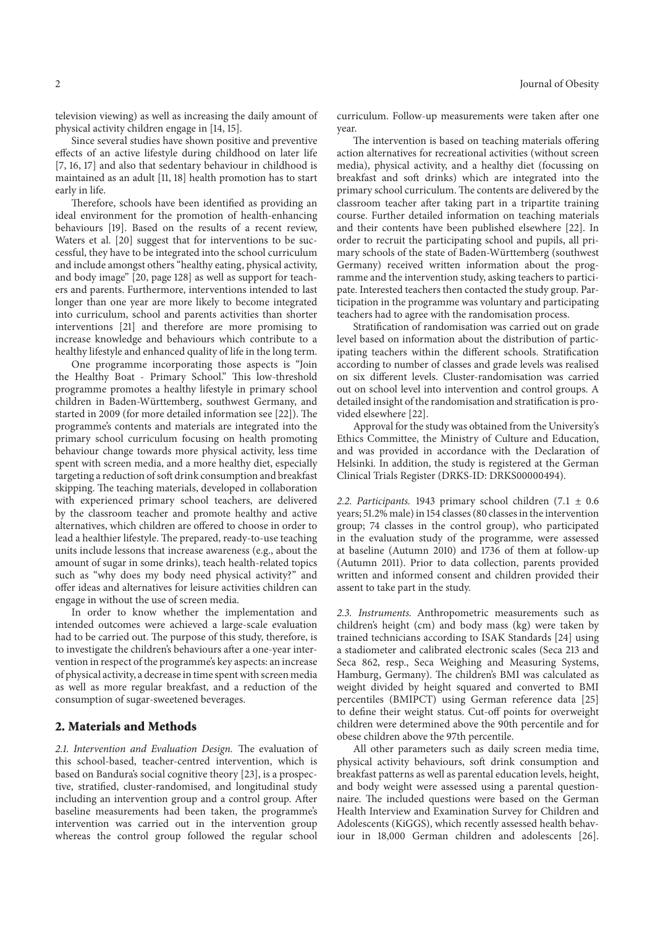television viewing) as well as increasing the daily amount of physical activity children engage in [14, 15].

Since several studies have shown positive and preventive effects of an active lifestyle during childhood on later life [7, 16, 17] and also that sedentary behaviour in childhood is maintained as an adult [11, 18] health promotion has to start early in life.

Therefore, schools have been identified as providing an ideal environment for the promotion of health-enhancing behaviours [19]. Based on the results of a recent review, Waters et al. [20] suggest that for interventions to be successful, they have to be integrated into the school curriculum and include amongst others "healthy eating, physical activity, and body image" [20, page 128] as well as support for teachers and parents. Furthermore, interventions intended to last longer than one year are more likely to become integrated into curriculum, school and parents activities than shorter interventions [21] and therefore are more promising to increase knowledge and behaviours which contribute to a healthy lifestyle and enhanced quality of life in the long term.

One programme incorporating those aspects is "Join the Healthy Boat - Primary School." This low-threshold programme promotes a healthy lifestyle in primary school children in Baden-Württemberg, southwest Germany, and started in 2009 (for more detailed information see [22]). The programme's contents and materials are integrated into the primary school curriculum focusing on health promoting behaviour change towards more physical activity, less time spent with screen media, and a more healthy diet, especially targeting a reduction of soft drink consumption and breakfast skipping. The teaching materials, developed in collaboration with experienced primary school teachers, are delivered by the classroom teacher and promote healthy and active alternatives, which children are offered to choose in order to lead a healthier lifestyle. The prepared, ready-to-use teaching units include lessons that increase awareness (e.g., about the amount of sugar in some drinks), teach health-related topics such as "why does my body need physical activity?" and offer ideas and alternatives for leisure activities children can engage in without the use of screen media.

In order to know whether the implementation and intended outcomes were achieved a large-scale evaluation had to be carried out. The purpose of this study, therefore, is to investigate the children's behaviours after a one-year intervention in respect of the programme's key aspects: an increase of physical activity, a decrease in time spent with screen media as well as more regular breakfast, and a reduction of the consumption of sugar-sweetened beverages.

#### 2. Materials and Methods

2.1. Intervention and Evaluation Design. The evaluation of this school-based, teacher-centred intervention, which is based on Bandura's social cognitive theory [23], is a prospective, stratified, cluster-randomised, and longitudinal study including an intervention group and a control group. After baseline measurements had been taken, the programme's intervention was carried out in the intervention group whereas the control group followed the regular school

curriculum. Follow-up measurements were taken after one year.

The intervention is based on teaching materials offering action alternatives for recreational activities (without screen media), physical activity, and a healthy diet (focussing on breakfast and soft drinks) which are integrated into the primary school curriculum. The contents are delivered by the classroom teacher after taking part in a tripartite training course. Further detailed information on teaching materials and their contents have been published elsewhere [22]. In order to recruit the participating school and pupils, all primary schools of the state of Baden-Württemberg (southwest Germany) received written information about the programme and the intervention study, asking teachers to participate. Interested teachers then contacted the study group. Participation in the programme was voluntary and participating teachers had to agree with the randomisation process.

Stratification of randomisation was carried out on grade level based on information about the distribution of participating teachers within the different schools. Stratification according to number of classes and grade levels was realised on six different levels. Cluster-randomisation was carried out on school level into intervention and control groups. A detailed insight of the randomisation and stratification is provided elsewhere [22].

Approval for the study was obtained from the University's Ethics Committee, the Ministry of Culture and Education, and was provided in accordance with the Declaration of Helsinki. In addition, the study is registered at the German Clinical Trials Register (DRKS-ID: DRKS00000494).

2.2. Participants. 1943 primary school children  $(7.1 \pm 0.6)$ years; 51.2% male) in 154 classes (80 classes in the intervention group; 74 classes in the control group), who participated in the evaluation study of the programme, were assessed at baseline (Autumn 2010) and 1736 of them at follow-up (Autumn 2011). Prior to data collection, parents provided written and informed consent and children provided their assent to take part in the study.

2.3. Instruments. Anthropometric measurements such as children's height (cm) and body mass (kg) were taken by trained technicians according to ISAK Standards [24] using a stadiometer and calibrated electronic scales (Seca 213 and Seca 862, resp., Seca Weighing and Measuring Systems, Hamburg, Germany). The children's BMI was calculated as weight divided by height squared and converted to BMI percentiles (BMIPCT) using German reference data [25] to define their weight status. Cut-off points for overweight children were determined above the 90th percentile and for obese children above the 97th percentile.

All other parameters such as daily screen media time, physical activity behaviours, soft drink consumption and breakfast patterns as well as parental education levels, height, and body weight were assessed using a parental questionnaire. The included questions were based on the German Health Interview and Examination Survey for Children and Adolescents (KiGGS), which recently assessed health behaviour in 18,000 German children and adolescents [26].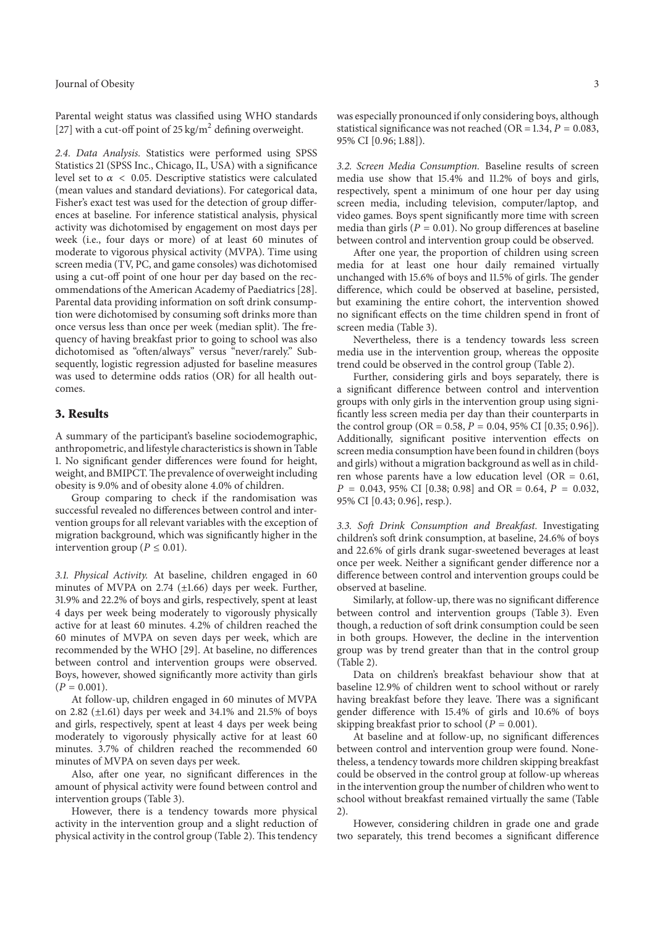Parental weight status was classified using WHO standards [27] with a cut-off point of  $25 \text{ kg/m}^2$  defining overweight.

2.4. Data Analysis. Statistics were performed using SPSS Statistics 21 (SPSS Inc., Chicago, IL, USA) with a significance level set to  $\alpha$  < 0.05. Descriptive statistics were calculated (mean values and standard deviations). For categorical data, Fisher's exact test was used for the detection of group differences at baseline. For inference statistical analysis, physical activity was dichotomised by engagement on most days per week (i.e., four days or more) of at least 60 minutes of moderate to vigorous physical activity (MVPA). Time using screen media (TV, PC, and game consoles) was dichotomised using a cut-off point of one hour per day based on the recommendations of the American Academy of Paediatrics [28]. Parental data providing information on soft drink consumption were dichotomised by consuming soft drinks more than once versus less than once per week (median split). The frequency of having breakfast prior to going to school was also dichotomised as "often/always" versus "never/rarely." Subsequently, logistic regression adjusted for baseline measures was used to determine odds ratios (OR) for all health outcomes.

#### 3. Results

A summary of the participant's baseline sociodemographic, anthropometric, and lifestyle characteristics is shown in Table 1. No significant gender differences were found for height, weight, and BMIPCT. The prevalence of overweight including obesity is 9.0% and of obesity alone 4.0% of children.

Group comparing to check if the randomisation was successful revealed no differences between control and intervention groups for all relevant variables with the exception of migration background, which was significantly higher in the intervention group ( $P \leq 0.01$ ).

3.1. Physical Activity. At baseline, children engaged in 60 minutes of MVPA on 2.74  $(\pm 1.66)$  days per week. Further, 31.9% and 22.2% of boys and girls, respectively, spent at least 4 days per week being moderately to vigorously physically active for at least 60 minutes. 4.2% of children reached the 60 minutes of MVPA on seven days per week, which are recommended by the WHO [29]. At baseline, no differences between control and intervention groups were observed. Boys, however, showed significantly more activity than girls  $(P = 0.001)$ .

At follow-up, children engaged in 60 minutes of MVPA on 2.82 (±1.61) days per week and 34.1% and 21.5% of boys and girls, respectively, spent at least 4 days per week being moderately to vigorously physically active for at least 60 minutes. 3.7% of children reached the recommended 60 minutes of MVPA on seven days per week.

Also, after one year, no significant differences in the amount of physical activity were found between control and intervention groups (Table 3).

However, there is a tendency towards more physical activity in the intervention group and a slight reduction of physical activity in the control group (Table 2). This tendency

was especially pronounced if only considering boys, although statistical significance was not reached (OR = 1.34,  $P = 0.083$ , 95% CI [0.96; 1.88]).

3.2. Screen Media Consumption. Baseline results of screen media use show that 15.4% and 11.2% of boys and girls, respectively, spent a minimum of one hour per day using screen media, including television, computer/laptop, and video games. Boys spent significantly more time with screen media than girls ( $P = 0.01$ ). No group differences at baseline between control and intervention group could be observed.

After one year, the proportion of children using screen media for at least one hour daily remained virtually unchanged with 15.6% of boys and 11.5% of girls. The gender difference, which could be observed at baseline, persisted, but examining the entire cohort, the intervention showed no significant effects on the time children spend in front of screen media (Table 3).

Nevertheless, there is a tendency towards less screen media use in the intervention group, whereas the opposite trend could be observed in the control group (Table 2).

Further, considering girls and boys separately, there is a significant difference between control and intervention groups with only girls in the intervention group using significantly less screen media per day than their counterparts in the control group (OR =  $0.58$ ,  $P = 0.04$ , 95% CI [0.35; 0.96]). Additionally, significant positive intervention effects on screen media consumption have been found in children (boys and girls) without a migration background as well as in children whose parents have a low education level (OR =  $0.61$ ,  $P = 0.043, 95\% \text{ CI} [0.38; 0.98] \text{ and OR} = 0.64, P = 0.032,$ 95% CI [0.43; 0.96], resp.).

3.3. Soft Drink Consumption and Breakfast. Investigating children's soft drink consumption, at baseline, 24.6% of boys and 22.6% of girls drank sugar-sweetened beverages at least once per week. Neither a significant gender difference nor a difference between control and intervention groups could be observed at baseline.

Similarly, at follow-up, there was no significant difference between control and intervention groups (Table 3). Even though, a reduction of soft drink consumption could be seen in both groups. However, the decline in the intervention group was by trend greater than that in the control group (Table 2).

Data on children's breakfast behaviour show that at baseline 12.9% of children went to school without or rarely having breakfast before they leave. There was a significant gender difference with 15.4% of girls and 10.6% of boys skipping breakfast prior to school ( $P = 0.001$ ).

At baseline and at follow-up, no significant differences between control and intervention group were found. Nonetheless, a tendency towards more children skipping breakfast could be observed in the control group at follow-up whereas in the intervention group the number of children who went to school without breakfast remained virtually the same (Table 2).

However, considering children in grade one and grade two separately, this trend becomes a significant difference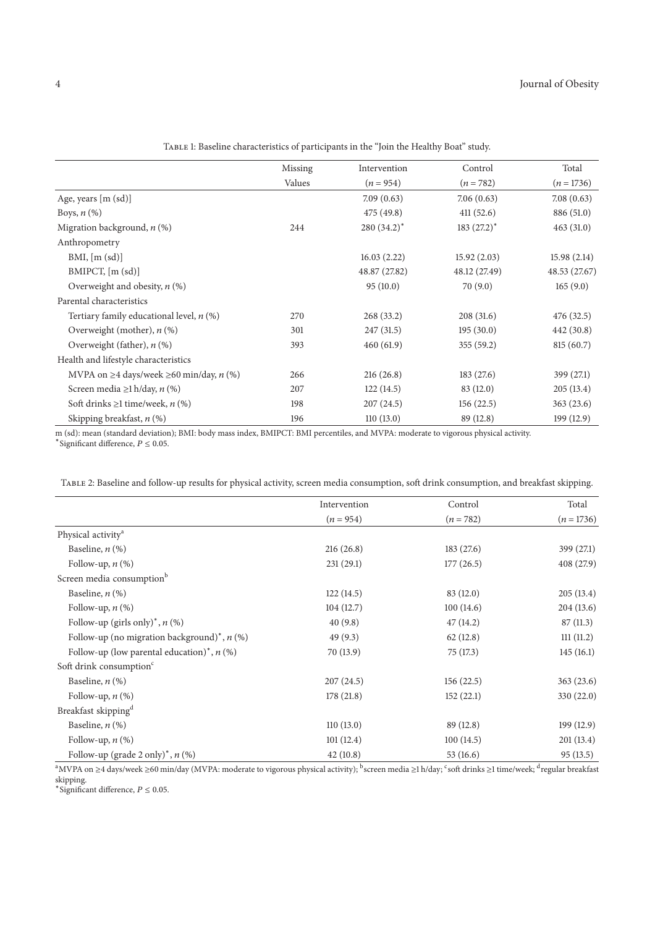|                                                            | Missing | Intervention  | Control        | Total         |
|------------------------------------------------------------|---------|---------------|----------------|---------------|
|                                                            | Values  | $(n = 954)$   | $(n = 782)$    | $(n = 1736)$  |
| Age, years [m (sd)]                                        |         | 7.09(0.63)    | 7.06(0.63)     | 7.08(0.63)    |
| Boys, $n$ $(\%)$                                           |         | 475 (49.8)    | 411(52.6)      | 886 (51.0)    |
| Migration background, $n$ (%)                              | 244     | $280(34.2)^*$ | $183 (27.2)^*$ | 463(31.0)     |
| Anthropometry                                              |         |               |                |               |
| BMI, [m (sd)]                                              |         | 16.03(2.22)   | 15.92(2.03)    | 15.98(2.14)   |
| $BMIPCT$ , $[m (sd)]$                                      |         | 48.87 (27.82) | 48.12 (27.49)  | 48.53 (27.67) |
| Overweight and obesity, $n$ (%)                            |         | 95(10.0)      | 70(9.0)        | 165(9.0)      |
| Parental characteristics                                   |         |               |                |               |
| Tertiary family educational level, $n$ (%)                 | 270     | 268(33.2)     | 208(31.6)      | 476 (32.5)    |
| Overweight (mother), $n$ (%)                               | 301     | 247(31.5)     | 195(30.0)      | 442 (30.8)    |
| Overweight (father), $n$ (%)                               | 393     | 460(61.9)     | 355(59.2)      | 815(60.7)     |
| Health and lifestyle characteristics                       |         |               |                |               |
| MVPA on $\geq$ 4 days/week $\geq$ 60 min/day, <i>n</i> (%) | 266     | 216(26.8)     | 183(27.6)      | 399 (27.1)    |
| Screen media $\geq 1$ h/day, n (%)                         | 207     | 122(14.5)     | 83 (12.0)      | 205(13.4)     |
| Soft drinks $\geq$ 1 time/week, n (%)                      | 198     | 207(24.5)     | 156(22.5)      | 363 (23.6)    |
| Skipping breakfast, $n$ (%)                                | 196     | 110(13.0)     | 89 (12.8)      | 199(12.9)     |

Table 1: Baseline characteristics of participants in the "Join the Healthy Boat" study.

m (sd): mean (standard deviation); BMI: body mass index, BMIPCT: BMI percentiles, and MVPA: moderate to vigorous physical activity.  $*$  Significant difference,  $P \leq 0.05$ .

TABLE 2: Baseline and follow-up results for physical activity, screen media consumption, soft drink consumption, and breakfast skipping.

|                                                            | Intervention | Control     | Total        |  |
|------------------------------------------------------------|--------------|-------------|--------------|--|
|                                                            | $(n = 954)$  | $(n = 782)$ | $(n = 1736)$ |  |
| Physical activity <sup>a</sup>                             |              |             |              |  |
| Baseline, $n$ $(\%)$                                       | 216(26.8)    | 183 (27.6)  | 399 (27.1)   |  |
| Follow-up, $n$ $(\%)$                                      | 231(29.1)    | 177(26.5)   | 408 (27.9)   |  |
| Screen media consumption <sup>b</sup>                      |              |             |              |  |
| Baseline, $n$ $(\%)$                                       | 122(14.5)    | 83 (12.0)   | 205(13.4)    |  |
| Follow-up, $n$ $(\%)$                                      | 104(12.7)    | 100(14.6)   | 204(13.6)    |  |
| Follow-up (girls only) <sup>*</sup> , $n$ (%)              | 40(9.8)      | 47(14.2)    | 87(11.3)     |  |
| Follow-up (no migration background) <sup>*</sup> , $n$ (%) | 49(9.3)      | 62(12.8)    | 111(11.2)    |  |
| Follow-up (low parental education) <sup>*</sup> , $n$ (%)  | 70 (13.9)    | 75(17.3)    | 145(16.1)    |  |
| Soft drink consumption <sup>c</sup>                        |              |             |              |  |
| Baseline, $n$ $(\%)$                                       | 207(24.5)    | 156(22.5)   | 363(23.6)    |  |
| Follow-up, $n$ $(\%)$                                      | 178(21.8)    | 152(22.1)   | 330(22.0)    |  |
| Breakfast skipping <sup>d</sup>                            |              |             |              |  |
| Baseline, $n$ (%)                                          | 110(13.0)    | 89 (12.8)   | 199(12.9)    |  |
| Follow-up, $n$ $(\%)$                                      | 101(12.4)    | 100(14.5)   | 201(13.4)    |  |
| Follow-up (grade 2 only) <sup>*</sup> , $n$ (%)            | 42(10.8)     | 53(16.6)    | 95(13.5)     |  |

<sup>a</sup>MVPA on ≥4 days/week ≥60 min/day (MVPA: moderate to vigorous physical activity); <sup>b</sup>screen media ≥1 h/day; <sup>c</sup>soft drinks ≥1 time/week; <sup>d</sup>regular breakfast skipping.<br>\*Significant difference,  $P \leq 0.05$ .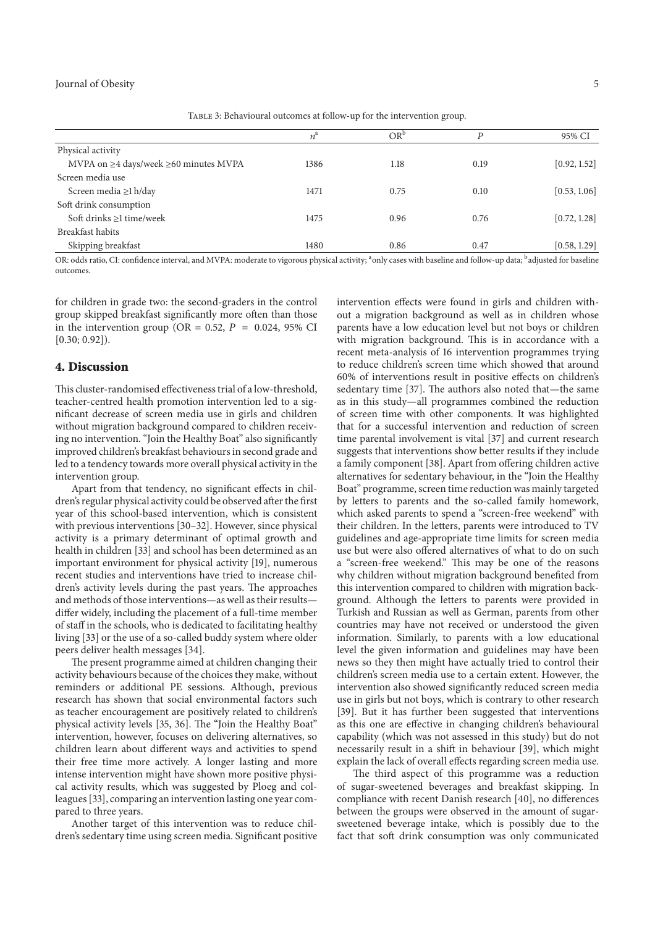Table 3: Behavioural outcomes at follow-up for the intervention group.

|                                                   | $n^{\rm a}$ | $OR^b$ | $\boldsymbol{P}$ | 95% CI       |
|---------------------------------------------------|-------------|--------|------------------|--------------|
| Physical activity                                 |             |        |                  |              |
| MVPA on $\geq$ 4 days/week $\geq$ 60 minutes MVPA | 1386        | 1.18   | 0.19             | [0.92, 1.52] |
| Screen media use                                  |             |        |                  |              |
| Screen media $\geq 1$ h/day                       | 1471        | 0.75   | 0.10             | [0.53, 1.06] |
| Soft drink consumption                            |             |        |                  |              |
| Soft drinks $\geq 1$ time/week                    | 1475        | 0.96   | 0.76             | [0.72, 1.28] |
| Breakfast habits                                  |             |        |                  |              |
| Skipping breakfast                                | 1480        | 0.86   | 0.47             | [0.58, 1.29] |

OR: odds ratio, CI: confidence interval, and MVPA: moderate to vigorous physical activity; <sup>a</sup>only cases with baseline and follow-up data; <sup>b</sup>adjusted for baseline outcomes.

for children in grade two: the second-graders in the control group skipped breakfast significantly more often than those in the intervention group (OR = 0.52,  $P = 0.024$ , 95% CI [0.30; 0.92]).

#### 4. Discussion

This cluster-randomised effectiveness trial of a low-threshold, teacher-centred health promotion intervention led to a significant decrease of screen media use in girls and children without migration background compared to children receiving no intervention. "Join the Healthy Boat" also significantly improved children's breakfast behaviours in second grade and led to a tendency towards more overall physical activity in the intervention group.

Apart from that tendency, no significant effects in children's regular physical activity could be observed after the first year of this school-based intervention, which is consistent with previous interventions [30–32]. However, since physical activity is a primary determinant of optimal growth and health in children [33] and school has been determined as an important environment for physical activity [19], numerous recent studies and interventions have tried to increase children's activity levels during the past years. The approaches and methods of those interventions—as well as their results differ widely, including the placement of a full-time member of staff in the schools, who is dedicated to facilitating healthy living [33] or the use of a so-called buddy system where older peers deliver health messages [34].

The present programme aimed at children changing their activity behaviours because of the choices they make, without reminders or additional PE sessions. Although, previous research has shown that social environmental factors such as teacher encouragement are positively related to children's physical activity levels [35, 36]. The "Join the Healthy Boat" intervention, however, focuses on delivering alternatives, so children learn about different ways and activities to spend their free time more actively. A longer lasting and more intense intervention might have shown more positive physical activity results, which was suggested by Ploeg and colleagues [33], comparing an intervention lasting one year compared to three years.

Another target of this intervention was to reduce children's sedentary time using screen media. Significant positive intervention effects were found in girls and children without a migration background as well as in children whose parents have a low education level but not boys or children with migration background. This is in accordance with a recent meta-analysis of 16 intervention programmes trying to reduce children's screen time which showed that around  $60\%$  of interventions result in positive effects on children's sedentary time [37]. The authors also noted that—the same as in this study—all programmes combined the reduction of screen time with other components. It was highlighted that for a successful intervention and reduction of screen time parental involvement is vital [37] and current research suggests that interventions show better results if they include a family component [38]. Apart from offering children active alternatives for sedentary behaviour, in the "Join the Healthy Boat" programme, screen time reduction was mainly targeted by letters to parents and the so-called family homework, which asked parents to spend a "screen-free weekend" with their children. In the letters, parents were introduced to TV guidelines and age-appropriate time limits for screen media use but were also offered alternatives of what to do on such a "screen-free weekend." This may be one of the reasons why children without migration background benefited from this intervention compared to children with migration background. Although the letters to parents were provided in Turkish and Russian as well as German, parents from other countries may have not received or understood the given information. Similarly, to parents with a low educational level the given information and guidelines may have been news so they then might have actually tried to control their children's screen media use to a certain extent. However, the intervention also showed significantly reduced screen media use in girls but not boys, which is contrary to other research [39]. But it has further been suggested that interventions as this one are effective in changing children's behavioural capability (which was not assessed in this study) but do not necessarily result in a shift in behaviour [39], which might explain the lack of overall effects regarding screen media use.

The third aspect of this programme was a reduction of sugar-sweetened beverages and breakfast skipping. In compliance with recent Danish research [40], no differences between the groups were observed in the amount of sugarsweetened beverage intake, which is possibly due to the fact that soft drink consumption was only communicated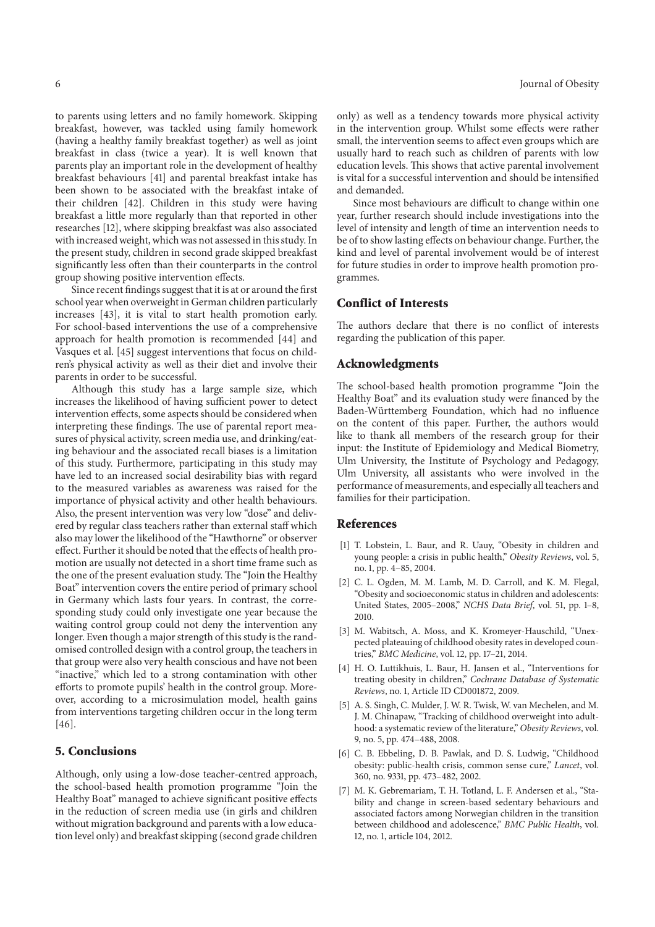to parents using letters and no family homework. Skipping breakfast, however, was tackled using family homework (having a healthy family breakfast together) as well as joint breakfast in class (twice a year). It is well known that parents play an important role in the development of healthy breakfast behaviours [41] and parental breakfast intake has been shown to be associated with the breakfast intake of their children [42]. Children in this study were having breakfast a little more regularly than that reported in other researches [12], where skipping breakfast was also associated with increased weight, which was not assessed in this study.In the present study, children in second grade skipped breakfast significantly less often than their counterparts in the control group showing positive intervention effects.

Since recent findings suggest that it is at or around the first school year when overweight in German children particularly increases [43], it is vital to start health promotion early. For school-based interventions the use of a comprehensive approach for health promotion is recommended [44] and Vasques et al. [45] suggest interventions that focus on children's physical activity as well as their diet and involve their parents in order to be successful.

Although this study has a large sample size, which increases the likelihood of having sufficient power to detect intervention effects, some aspects should be considered when interpreting these findings. The use of parental report measures of physical activity, screen media use, and drinking/eating behaviour and the associated recall biases is a limitation of this study. Furthermore, participating in this study may have led to an increased social desirability bias with regard to the measured variables as awareness was raised for the importance of physical activity and other health behaviours. Also, the present intervention was very low "dose" and delivered by regular class teachers rather than external staff which also may lower the likelihood of the "Hawthorne" or observer effect. Further it should be noted that the effects of health promotion are usually not detected in a short time frame such as the one of the present evaluation study. The "Join the Healthy Boat" intervention covers the entire period of primary school in Germany which lasts four years. In contrast, the corresponding study could only investigate one year because the waiting control group could not deny the intervention any longer. Even though a major strength of this study is the randomised controlled design with a control group, the teachers in that group were also very health conscious and have not been "inactive," which led to a strong contamination with other efforts to promote pupils' health in the control group. Moreover, according to a microsimulation model, health gains from interventions targeting children occur in the long term [46].

#### 5. Conclusions

Although, only using a low-dose teacher-centred approach, the school-based health promotion programme "Join the Healthy Boat" managed to achieve significant positive effects in the reduction of screen media use (in girls and children without migration background and parents with a low education level only) and breakfast skipping (second grade children only) as well as a tendency towards more physical activity in the intervention group. Whilst some effects were rather small, the intervention seems to affect even groups which are usually hard to reach such as children of parents with low education levels. This shows that active parental involvement is vital for a successful intervention and should be intensified and demanded.

Since most behaviours are difficult to change within one year, further research should include investigations into the level of intensity and length of time an intervention needs to be of to show lasting effects on behaviour change. Further, the kind and level of parental involvement would be of interest for future studies in order to improve health promotion programmes.

#### Conflict of Interests

The authors declare that there is no conflict of interests regarding the publication of this paper.

#### Acknowledgments

The school-based health promotion programme "Join the Healthy Boat" and its evaluation study were financed by the Baden-Württemberg Foundation, which had no influence on the content of this paper. Further, the authors would like to thank all members of the research group for their input: the Institute of Epidemiology and Medical Biometry, Ulm University, the Institute of Psychology and Pedagogy, Ulm University, all assistants who were involved in the performance of measurements, and especially all teachers and families for their participation.

#### References

- [1] T. Lobstein, L. Baur, and R. Uauy, "Obesity in children and young people: a crisis in public health," Obesity Reviews, vol. 5, no. 1, pp. 4–85, 2004.
- [2] C. L. Ogden, M. M. Lamb, M. D. Carroll, and K. M. Flegal, "Obesity and socioeconomic status in children and adolescents: United States, 2005–2008," NCHS Data Brief, vol. 51, pp. 1–8, 2010.
- [3] M. Wabitsch, A. Moss, and K. Kromeyer-Hauschild, "Unexpected plateauing of childhood obesity rates in developed countries," BMC Medicine, vol. 12, pp. 17–21, 2014.
- [4] H. O. Luttikhuis, L. Baur, H. Jansen et al., "Interventions for treating obesity in children," Cochrane Database of Systematic Reviews, no. 1, Article ID CD001872, 2009.
- [5] A. S. Singh, C. Mulder, J. W. R. Twisk, W. van Mechelen, and M. J. M. Chinapaw, "Tracking of childhood overweight into adulthood: a systematic review of the literature," Obesity Reviews, vol. 9, no. 5, pp. 474–488, 2008.
- [6] C. B. Ebbeling, D. B. Pawlak, and D. S. Ludwig, "Childhood obesity: public-health crisis, common sense cure," Lancet, vol. 360, no. 9331, pp. 473–482, 2002.
- [7] M. K. Gebremariam, T. H. Totland, L. F. Andersen et al., "Stability and change in screen-based sedentary behaviours and associated factors among Norwegian children in the transition between childhood and adolescence," BMC Public Health, vol. 12, no. 1, article 104, 2012.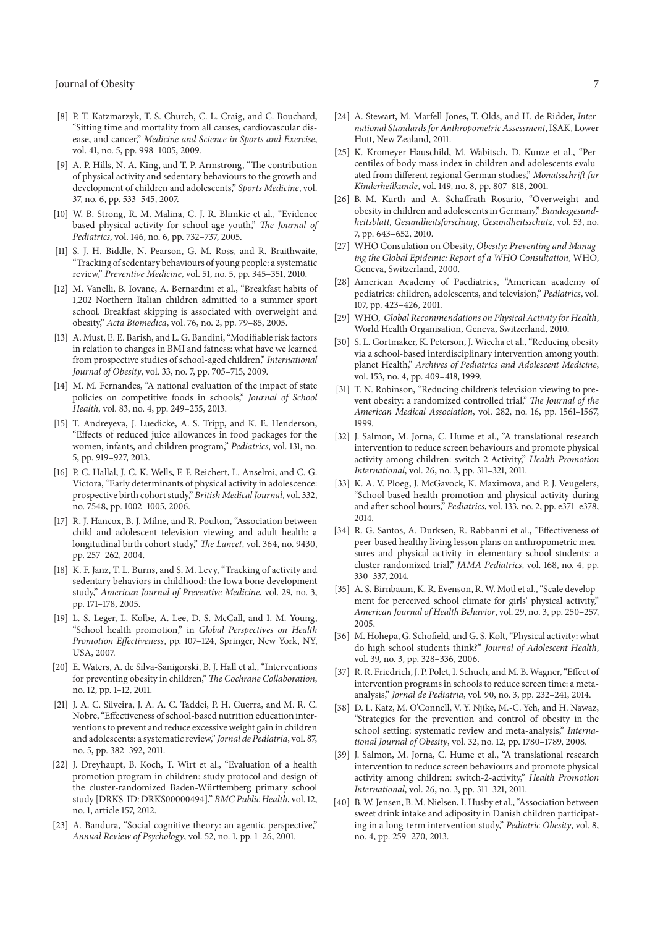- [8] P. T. Katzmarzyk, T. S. Church, C. L. Craig, and C. Bouchard, "Sitting time and mortality from all causes, cardiovascular disease, and cancer," Medicine and Science in Sports and Exercise, vol. 41, no. 5, pp. 998–1005, 2009.
- [9] A. P. Hills, N. A. King, and T. P. Armstrong, "The contribution of physical activity and sedentary behaviours to the growth and development of children and adolescents," Sports Medicine, vol. 37, no. 6, pp. 533–545, 2007.
- [10] W. B. Strong, R. M. Malina, C. J. R. Blimkie et al., "Evidence based physical activity for school-age youth," The Journal of Pediatrics, vol. 146, no. 6, pp. 732–737, 2005.
- [11] S. J. H. Biddle, N. Pearson, G. M. Ross, and R. Braithwaite, "Tracking of sedentary behaviours of young people: a systematic review," Preventive Medicine, vol. 51, no. 5, pp. 345–351, 2010.
- [12] M. Vanelli, B. Iovane, A. Bernardini et al., "Breakfast habits of 1,202 Northern Italian children admitted to a summer sport school. Breakfast skipping is associated with overweight and obesity," Acta Biomedica, vol. 76, no. 2, pp. 79–85, 2005.
- [13] A. Must, E. E. Barish, and L. G. Bandini, "Modifiable risk factors in relation to changes in BMI and fatness: what have we learned from prospective studies of school-aged children," International Journal of Obesity, vol. 33, no. 7, pp. 705–715, 2009.
- [14] M. M. Fernandes, "A national evaluation of the impact of state policies on competitive foods in schools," Journal of School Health, vol. 83, no. 4, pp. 249–255, 2013.
- [15] T. Andreyeva, J. Luedicke, A. S. Tripp, and K. E. Henderson, "Effects of reduced juice allowances in food packages for the women, infants, and children program," Pediatrics, vol. 131, no. 5, pp. 919–927, 2013.
- [16] P. C. Hallal, J. C. K. Wells, F. F. Reichert, L. Anselmi, and C. G. Victora, "Early determinants of physical activity in adolescence: prospective birth cohort study," British Medical Journal, vol. 332, no. 7548, pp. 1002–1005, 2006.
- [17] R. J. Hancox, B. J. Milne, and R. Poulton, "Association between child and adolescent television viewing and adult health: a longitudinal birth cohort study," The Lancet, vol. 364, no. 9430, pp. 257–262, 2004.
- [18] K. F. Janz, T. L. Burns, and S. M. Levy, "Tracking of activity and sedentary behaviors in childhood: the Iowa bone development study," American Journal of Preventive Medicine, vol. 29, no. 3, pp. 171–178, 2005.
- [19] L. S. Leger, L. Kolbe, A. Lee, D. S. McCall, and I. M. Young, "School health promotion," in Global Perspectives on Health Promotion Effectiveness, pp. 107-124, Springer, New York, NY, USA, 2007.
- [20] E. Waters, A. de Silva-Sanigorski, B. J. Hall et al., "Interventions for preventing obesity in children," The Cochrane Collaboration, no. 12, pp. 1–12, 2011.
- [21] J. A. C. Silveira, J. A. A. C. Taddei, P. H. Guerra, and M. R. C. Nobre, "Effectiveness of school-based nutrition education interventions to prevent and reduce excessive weight gain in children and adolescents: a systematic review," Jornal de Pediatria, vol. 87, no. 5, pp. 382–392, 2011.
- [22] J. Dreyhaupt, B. Koch, T. Wirt et al., "Evaluation of a health promotion program in children: study protocol and design of the cluster-randomized Baden-Württemberg primary school study [DRKS-ID: DRKS00000494]," BMC Public Health, vol. 12, no. 1, article 157, 2012.
- [23] A. Bandura, "Social cognitive theory: an agentic perspective," Annual Review of Psychology, vol. 52, no. 1, pp. 1–26, 2001.
- [24] A. Stewart, M. Marfell-Jones, T. Olds, and H. de Ridder, International Standards for Anthropometric Assessment, ISAK, Lower Hutt, New Zealand, 2011.
- [25] K. Kromeyer-Hauschild, M. Wabitsch, D. Kunze et al., "Percentiles of body mass index in children and adolescents evaluated from different regional German studies," Monatsschrift fur Kinderheilkunde, vol. 149, no. 8, pp. 807–818, 2001.
- [26] B.-M. Kurth and A. Schaffrath Rosario, "Overweight and obesity in children and adolescents in Germany," Bundesgesundheitsblatt, Gesundheitsforschung, Gesundheitsschutz, vol. 53, no. 7, pp. 643–652, 2010.
- [27] WHO Consulation on Obesity, Obesity: Preventing and Managing the Global Epidemic: Report of a WHO Consultation, WHO, Geneva, Switzerland, 2000.
- [28] American Academy of Paediatrics, "American academy of pediatrics: children, adolescents, and television," Pediatrics, vol. 107, pp. 423–426, 2001.
- [29] WHO, Global Recommendations on Physical Activity for Health, World Health Organisation, Geneva, Switzerland, 2010.
- [30] S. L. Gortmaker, K. Peterson, J. Wiecha et al., "Reducing obesity via a school-based interdisciplinary intervention among youth: planet Health," Archives of Pediatrics and Adolescent Medicine, vol. 153, no. 4, pp. 409–418, 1999.
- [31] T. N. Robinson, "Reducing children's television viewing to prevent obesity: a randomized controlled trial," The Journal of the American Medical Association, vol. 282, no. 16, pp. 1561–1567, 1999.
- [32] J. Salmon, M. Jorna, C. Hume et al., "A translational research intervention to reduce screen behaviours and promote physical activity among children: switch-2-Activity," Health Promotion International, vol. 26, no. 3, pp. 311–321, 2011.
- [33] K. A. V. Ploeg, J. McGavock, K. Maximova, and P. J. Veugelers, "School-based health promotion and physical activity during and after school hours," Pediatrics, vol. 133, no. 2, pp. e371-e378, 2014.
- [34] R. G. Santos, A. Durksen, R. Rabbanni et al., "Effectiveness of peer-based healthy living lesson plans on anthropometric measures and physical activity in elementary school students: a cluster randomized trial," JAMA Pediatrics, vol. 168, no. 4, pp. 330–337, 2014.
- [35] A. S. Birnbaum, K. R. Evenson, R. W. Motl et al., "Scale development for perceived school climate for girls' physical activity," American Journal of Health Behavior, vol. 29, no. 3, pp. 250–257, 2005.
- [36] M. Hohepa, G. Schofield, and G. S. Kolt, "Physical activity: what do high school students think?" Journal of Adolescent Health, vol. 39, no. 3, pp. 328–336, 2006.
- [37] R. R. Friedrich, J. P. Polet, I. Schuch, and M. B. Wagner, "Effect of intervention programs in schools to reduce screen time: a metaanalysis," Jornal de Pediatria, vol. 90, no. 3, pp. 232–241, 2014.
- [38] D. L. Katz, M. O'Connell, V. Y. Niike, M.-C. Yeh, and H. Nawaz, "Strategies for the prevention and control of obesity in the school setting: systematic review and meta-analysis," International Journal of Obesity, vol. 32, no. 12, pp. 1780–1789, 2008.
- [39] J. Salmon, M. Jorna, C. Hume et al., "A translational research intervention to reduce screen behaviours and promote physical activity among children: switch-2-activity," Health Promotion International, vol. 26, no. 3, pp. 311–321, 2011.
- [40] B. W. Jensen, B. M. Nielsen, I. Husby et al., "Association between sweet drink intake and adiposity in Danish children participating in a long-term intervention study," Pediatric Obesity, vol. 8, no. 4, pp. 259–270, 2013.